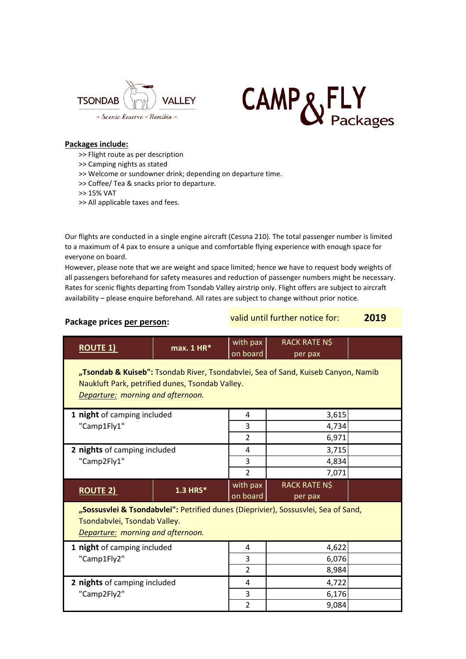



## **Packages include:**

- >> Flight route as per description
- >> Camping nights as stated
- >> Welcome or sundowner drink; depending on departure time.
- >> Coffee/ Tea & snacks prior to departure.
- >> 15% VAT
- >> All applicable taxes and fees.

Our flights are conducted in a single engine aircraft (Cessna 210). The total passenger number is limited to a maximum of 4 pax to ensure a unique and comfortable flying experience with enough space for everyone on board.

However, please note that we are weight and space limited; hence we have to request body weights of all passengers beforehand for safety measures and reduction of passenger numbers might be necessary. Rates for scenic flights departing from Tsondab Valley airstrip only. Flight offers are subject to aircraft availability – please enquire beforehand. All rates are subject to change without prior notice.

## **Package prices per person:** valid until further notice for: **2019 ROUTE 1) max. 1 HR<sup>\*</sup>** with pax on board RACK RATE N\$ per pax **1 night** of camping included **1 1 4 1 3,615**  $\blacksquare$  Camp1Fly1"  $\blacksquare$  3  $\blacksquare$  4,734 2 6,971 **2 nights** of camping included  $\begin{vmatrix} 4 & 1 \\ 4 & 3,715 \end{vmatrix}$  $\text{``Camp2Fly1''}$   $\qquad \qquad \text{``Camp2Fly1''}$   $\qquad \qquad \text{``Camp2Fly1''}$ 2 7,071 **ROUTE 2) 1.3 HRS<sup>\*</sup>** with pax on board RACK RATE N\$ per pax **"Tsondab & Kuiseb":** Tsondab River, Tsondabvlei, Sea of Sand, Kuiseb Canyon, Namib Naukluft Park, petrified dunes, Tsondab Valley. *Departure: morning and afternoon.* **"Sossusvlei & Tsondabvlei":** Petrified dunes (Dieprivier), Sossusvlei, Sea of Sand, Tsondabvlei, Tsondab Valley. *Departure: morning and afternoon.*

| 1 night of camping included  | 4 | 4,622 |  |
|------------------------------|---|-------|--|
| "Camp1Fly2"                  | っ | 6,076 |  |
|                              |   | 8,984 |  |
| 2 nights of camping included | 4 | 4,722 |  |
| "Camp2Fly2"                  | っ | 6,176 |  |
|                              |   | 9,084 |  |